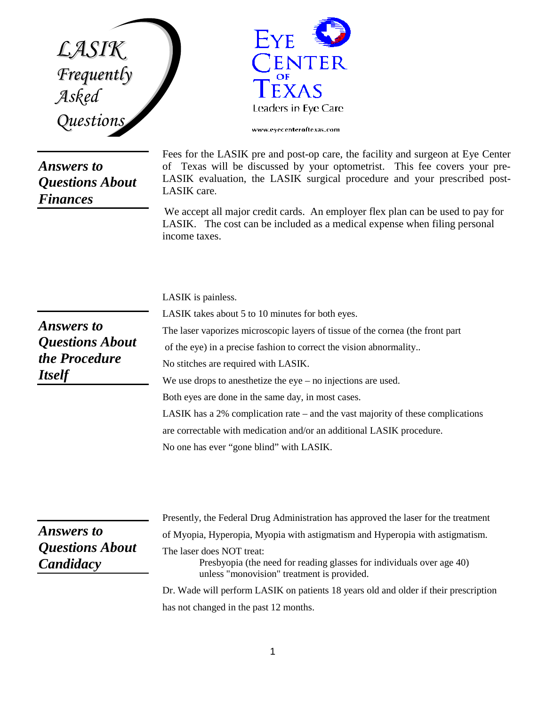*LASIK Frequently Asked Questions*

## *Answers to Questions About Finances*



Fees for the LASIK pre and post-op care, the facility and surgeon at Eye Center of Texas will be discussed by your optometrist. This fee covers your pre-LASIK evaluation, the LASIK surgical procedure and your prescribed post-LASIK care.

We accept all major credit cards. An employer flex plan can be used to pay for LASIK. The cost can be included as a medical expense when filing personal income taxes.

LASIK is painless.

*Answers to Questions About the Procedure Itself*

LASIK takes about 5 to 10 minutes for both eyes. The laser vaporizes microscopic layers of tissue of the cornea (the front part of the eye) in a precise fashion to correct the vision abnormality.. No stitches are required with LASIK. We use drops to anesthetize the eye – no injections are used. Both eyes are done in the same day, in most cases. LASIK has a 2% complication rate – and the vast majority of these complications are correctable with medication and/or an additional LASIK procedure. No one has ever "gone blind" with LASIK.

*Answers to Questions About Candidacy*

Presently, the Federal Drug Administration has approved the laser for the treatment of Myopia, Hyperopia, Myopia with astigmatism and Hyperopia with astigmatism. The laser does NOT treat: Presbyopia (the need for reading glasses for individuals over age 40) unless "monovision" treatment is provided. Dr. Wade will perform LASIK on patients 18 years old and older if their prescription has not changed in the past 12 months.